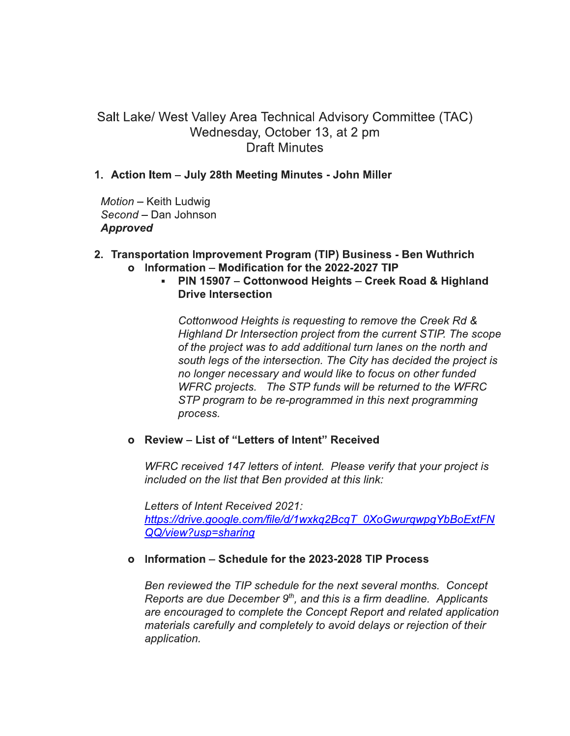# Salt Lake/ West Valley Area Technical Advisory Committee (TAC) Wednesday, October 13, at 2 pm **Draft Minutes**

## 1. Action Item – July 28th Meeting Minutes - John Miller

Motion - Keith Ludwig Second - Dan Johnson **Approved** 

## 2. Transportation Improvement Program (TIP) Business - Ben Wuthrich o Information - Modification for the 2022-2027 TIP

 $\mathbf{r}$  . PIN 15907 - Cottonwood Heights - Creek Road & Highland **Drive Intersection** 

Cottonwood Heights is requesting to remove the Creek Rd & Highland Dr Intersection project from the current STIP. The scope of the project was to add additional turn lanes on the north and south legs of the intersection. The City has decided the project is no longer necessary and would like to focus on other funded WFRC projects. The STP funds will be returned to the WFRC STP program to be re-programmed in this next programming process.

## o Review - List of "Letters of Intent" Received

WFRC received 147 letters of intent. Please verify that your project is included on the list that Ben provided at this link:

Letters of Intent Received 2021: https://drive.google.com/file/d/1wxkg2BcgT\_0XoGwurgwpgYbBoExtFN QQ/view?usp=sharing

### o Information – Schedule for the 2023-2028 TIP Process

Ben reviewed the TIP schedule for the next several months. Concept Reports are due December 9<sup>th</sup>, and this is a firm deadline. Applicants are encouraged to complete the Concept Report and related application materials carefully and completely to avoid delays or rejection of their application.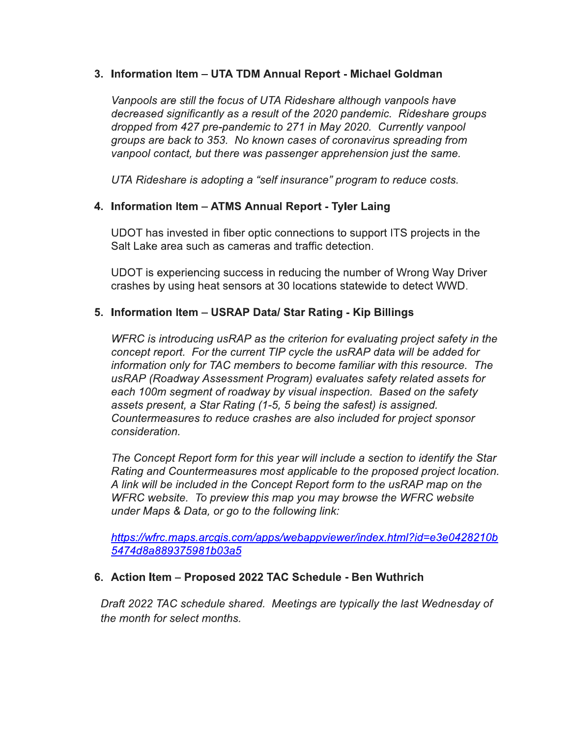## 3. Information Item – UTA TDM Annual Report - Michael Goldman

Vanpools are still the focus of UTA Rideshare although vanpools have decreased significantly as a result of the 2020 pandemic. Rideshare groups dropped from 427 pre-pandemic to 271 in May 2020. Currently vanpool groups are back to 353. No known cases of coronavirus spreading from vanpool contact, but there was passenger apprehension just the same.

UTA Rideshare is adopting a "self insurance" program to reduce costs.

## 4. Information Item - ATMS Annual Report - Tyler Laing

UDOT has invested in fiber optic connections to support ITS projects in the Salt Lake area such as cameras and traffic detection.

UDOT is experiencing success in reducing the number of Wrong Way Driver crashes by using heat sensors at 30 locations statewide to detect WWD.

## 5. Information Item - USRAP Data/ Star Rating - Kip Billings

WFRC is introducing usRAP as the criterion for evaluating project safety in the concept report. For the current TIP cycle the usRAP data will be added for information only for TAC members to become familiar with this resource. The usRAP (Roadway Assessment Program) evaluates safety related assets for each 100m segment of roadway by visual inspection. Based on the safety assets present, a Star Rating (1-5, 5 being the safest) is assigned. Countermeasures to reduce crashes are also included for project sponsor consideration.

The Concept Report form for this year will include a section to identify the Star Rating and Countermeasures most applicable to the proposed project location. A link will be included in the Concept Report form to the usRAP map on the WFRC website. To preview this map you may browse the WFRC website under Maps & Data, or go to the following link:

https://wfrc.maps.arcgis.com/apps/webappviewer/index.html?id=e3e0428210b 5474d8a889375981b03a5

## 6. Action Item - Proposed 2022 TAC Schedule - Ben Wuthrich

Draft 2022 TAC schedule shared. Meetings are typically the last Wednesday of the month for select months.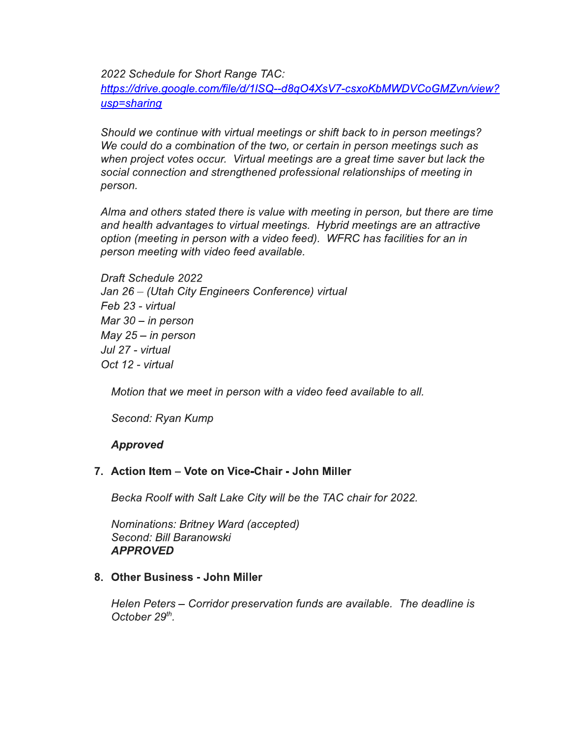2022 Schedule for Short Range TAC:

https://drive.google.com/file/d/1ISQ--d8qO4XsV7-csxoKbMWDVCoGMZvn/view? usp=sharing

Should we continue with virtual meetings or shift back to in person meetings? We could do a combination of the two, or certain in person meetings such as when project votes occur. Virtual meetings are a great time saver but lack the social connection and strengthened professional relationships of meeting in person.

Alma and others stated there is value with meeting in person, but there are time and health advantages to virtual meetings. Hybrid meetings are an attractive option (meeting in person with a video feed). WFRC has facilities for an in person meeting with video feed available.

Draft Schedule 2022 Jan 26 - (Utah City Engineers Conference) virtual Feb 23 - virtual Mar  $30 - in$  person May  $25 - in$  person Jul 27 - virtual Oct 12 - virtual

Motion that we meet in person with a video feed available to all.

Second: Ryan Kump

## **Approved**

## 7. Action Item - Vote on Vice-Chair - John Miller

Becka Roolf with Salt Lake City will be the TAC chair for 2022.

Nominations: Britney Ward (accepted) Second: Bill Baranowski **APPROVED** 

### 8. Other Business - John Miller

Helen Peters – Corridor preservation funds are available. The deadline is October 29<sup>th</sup>.